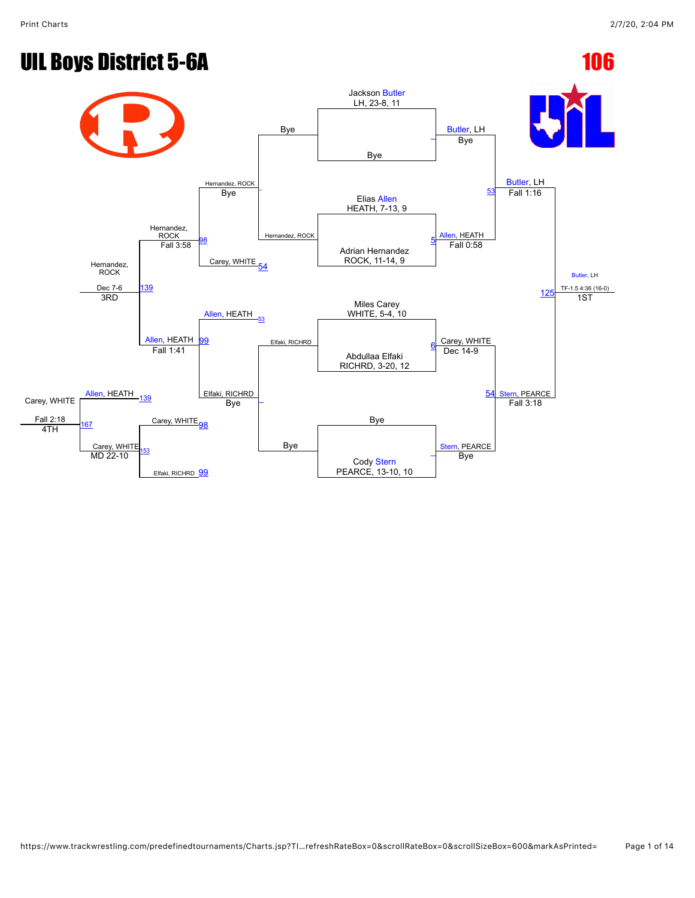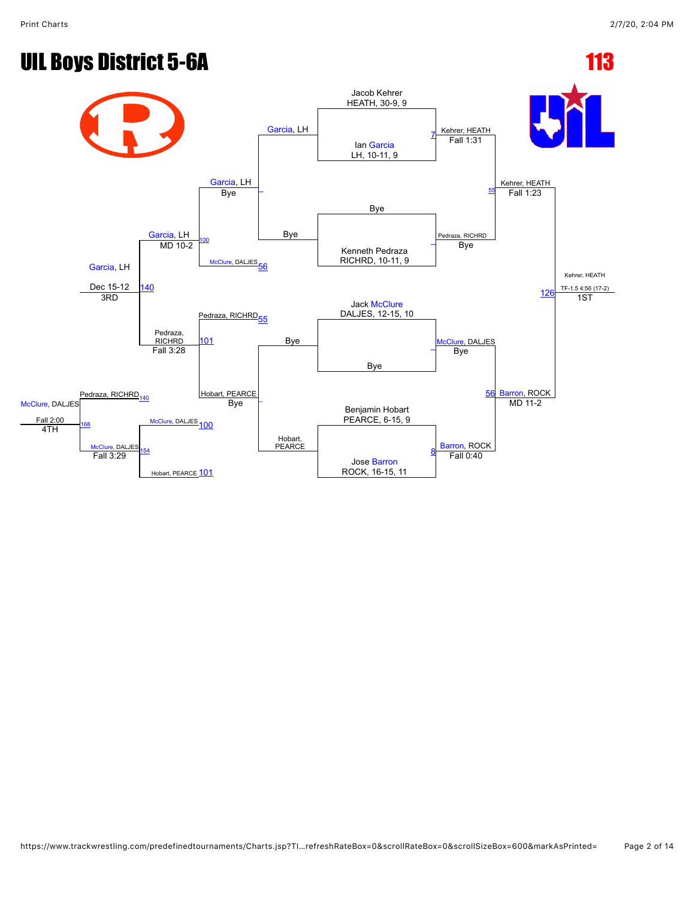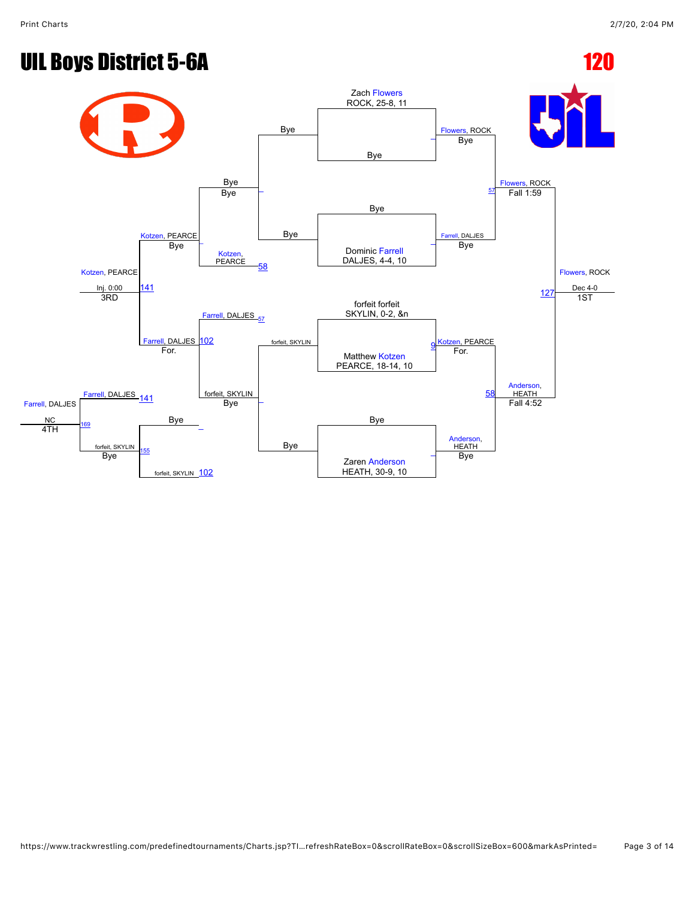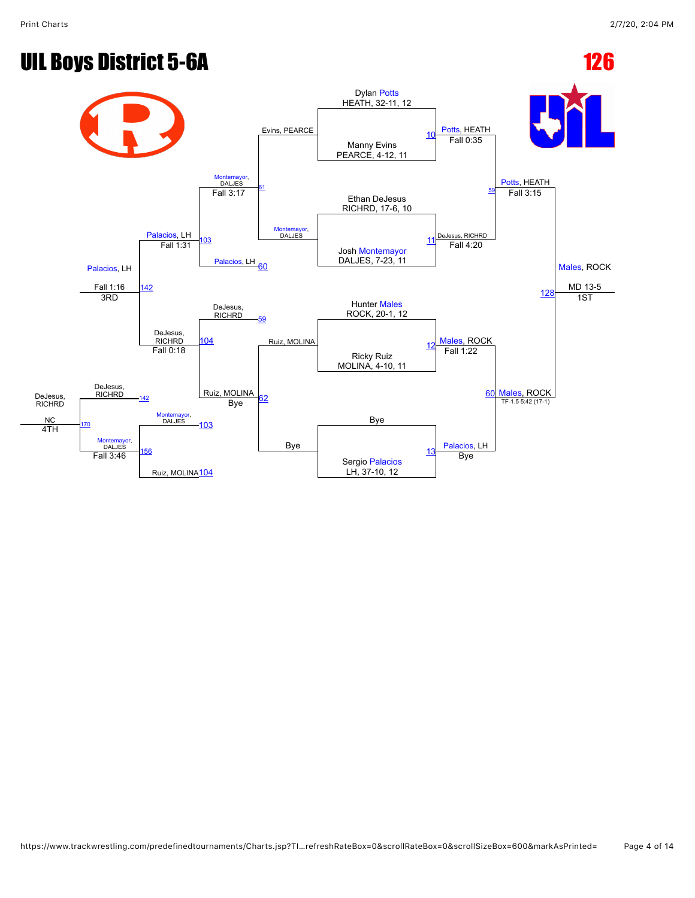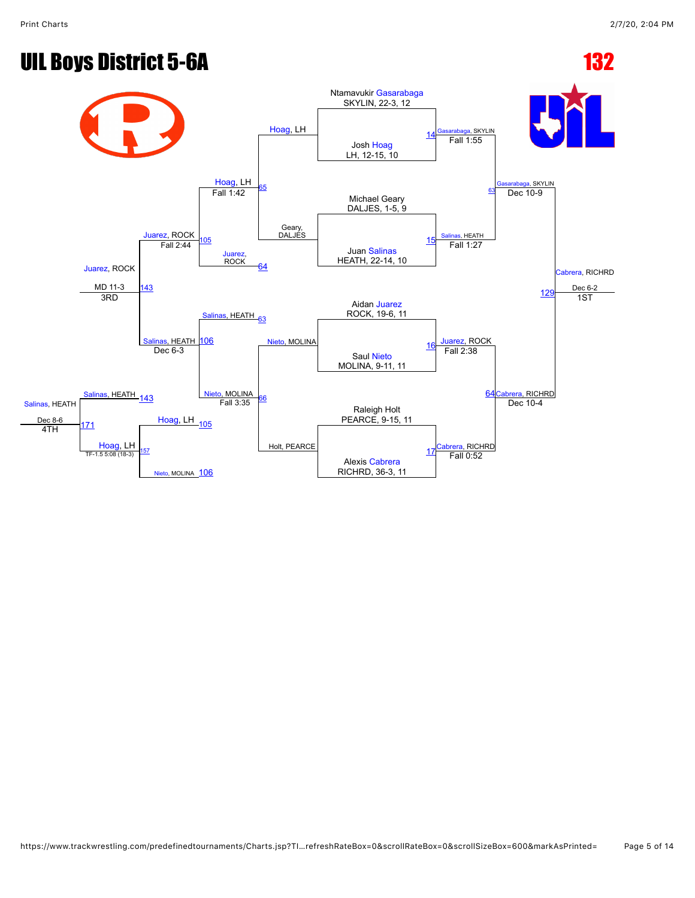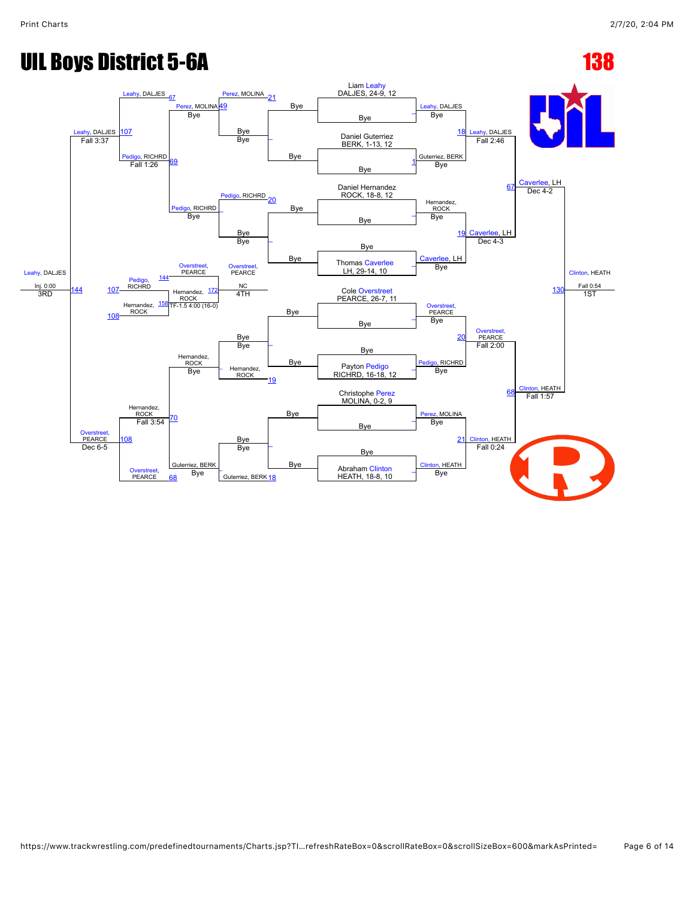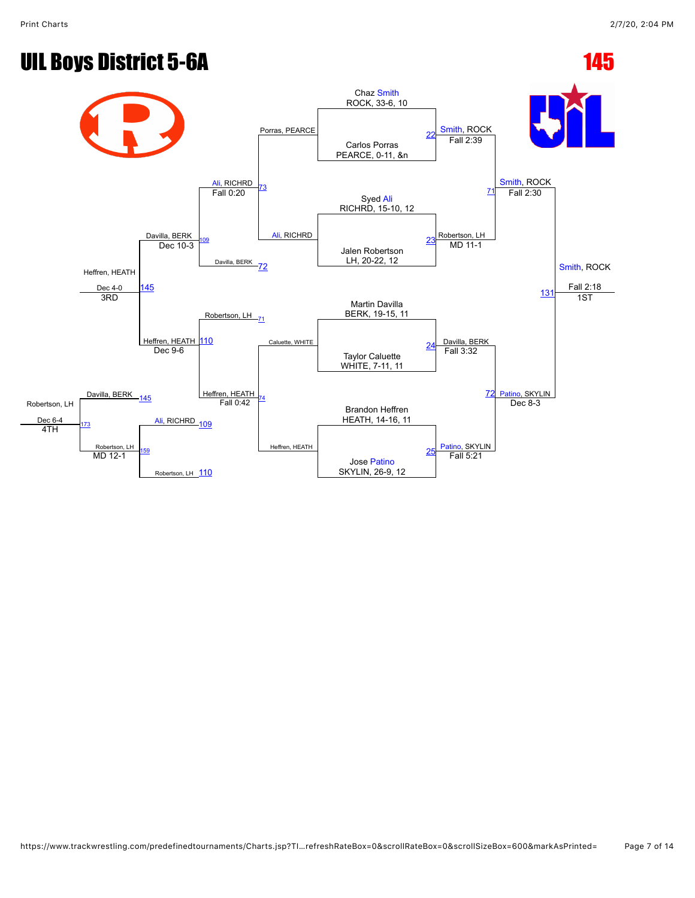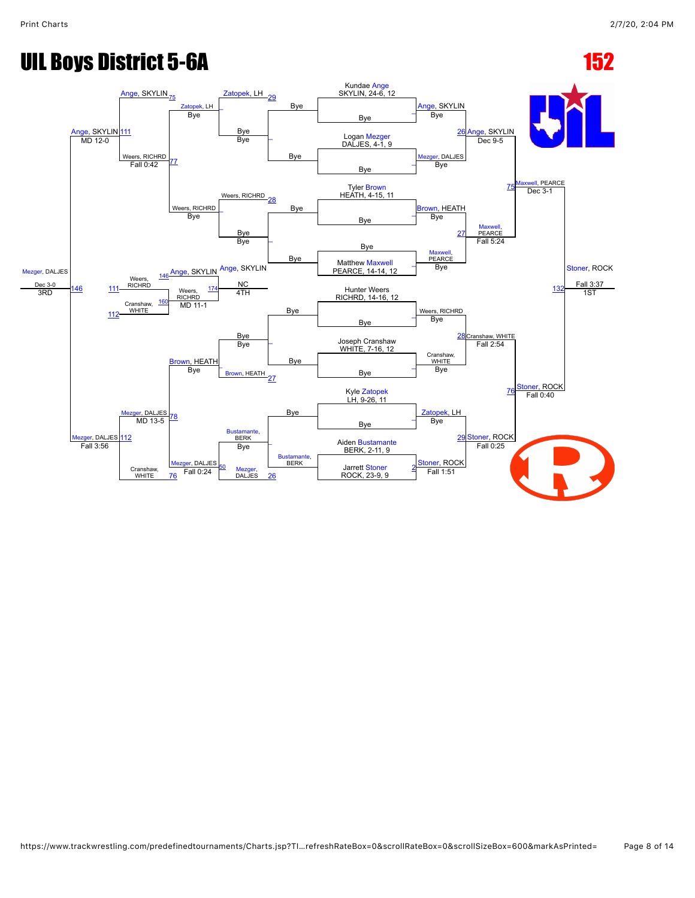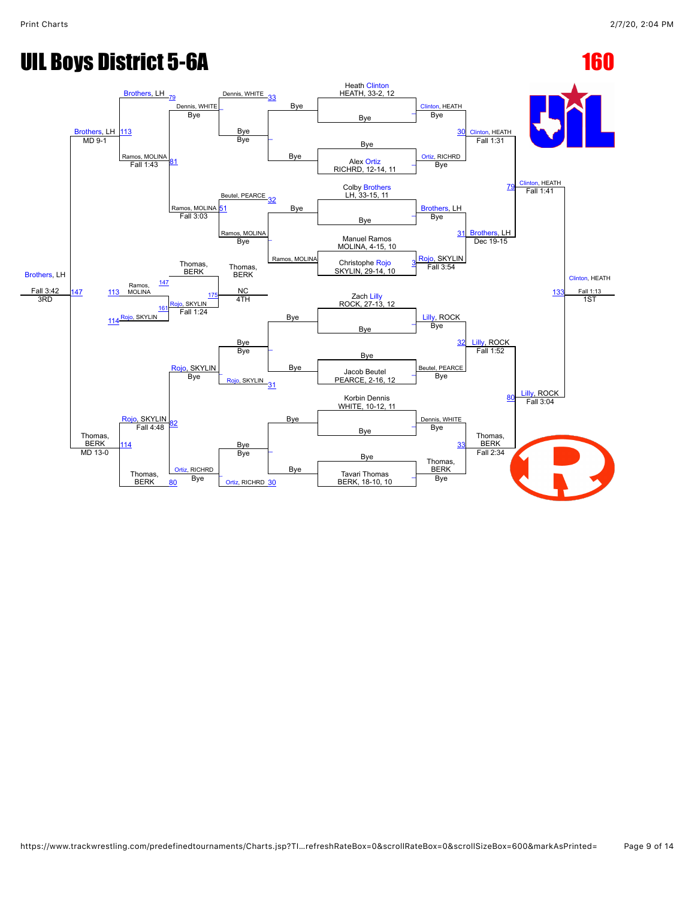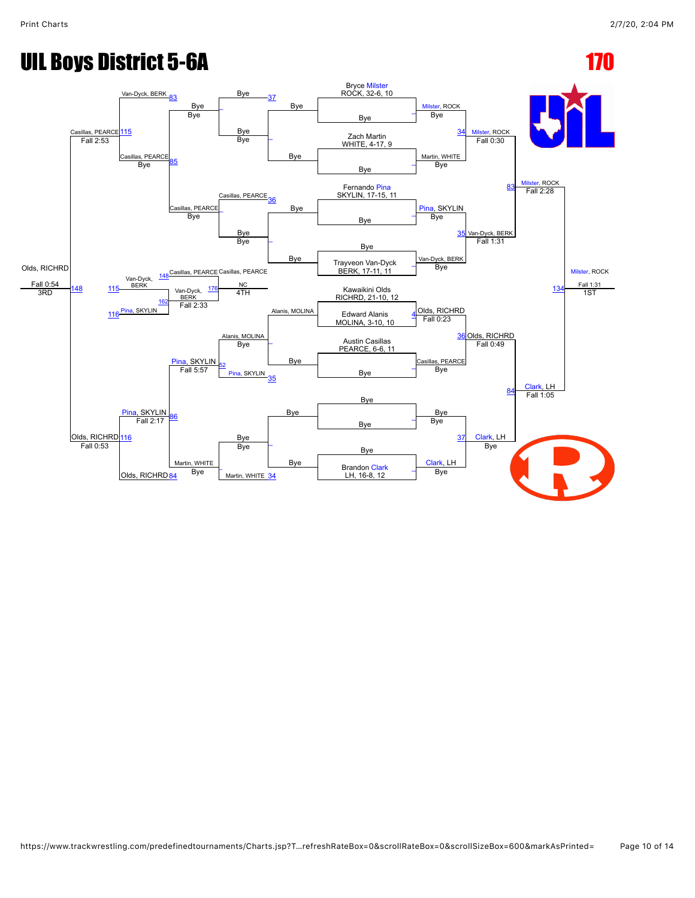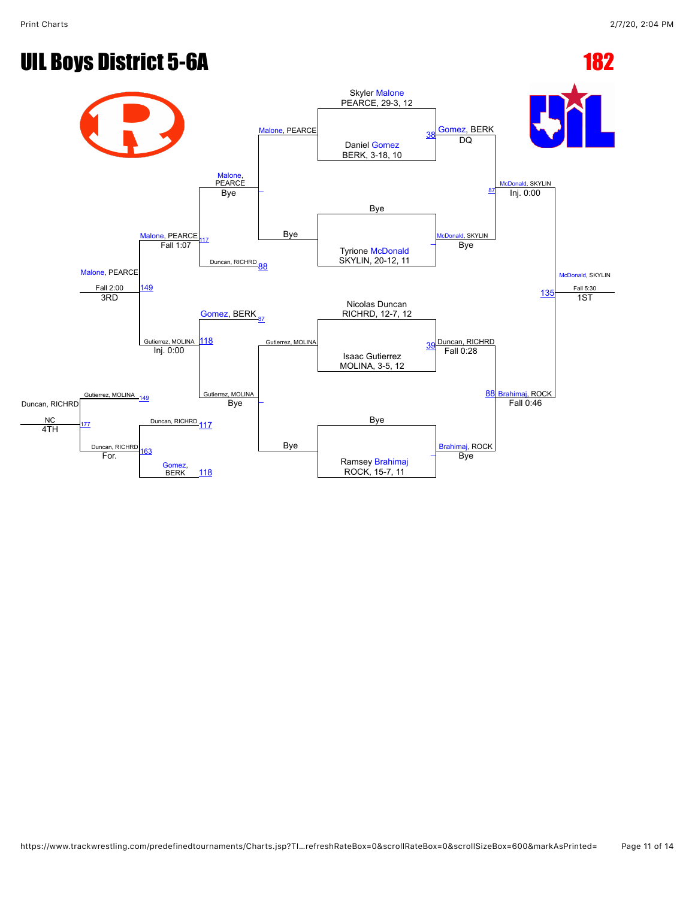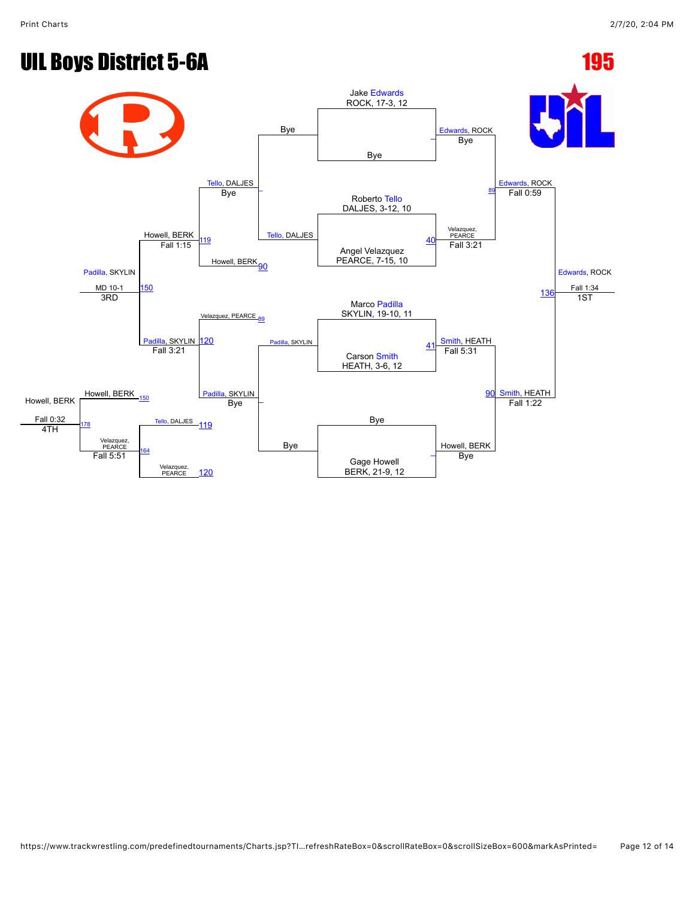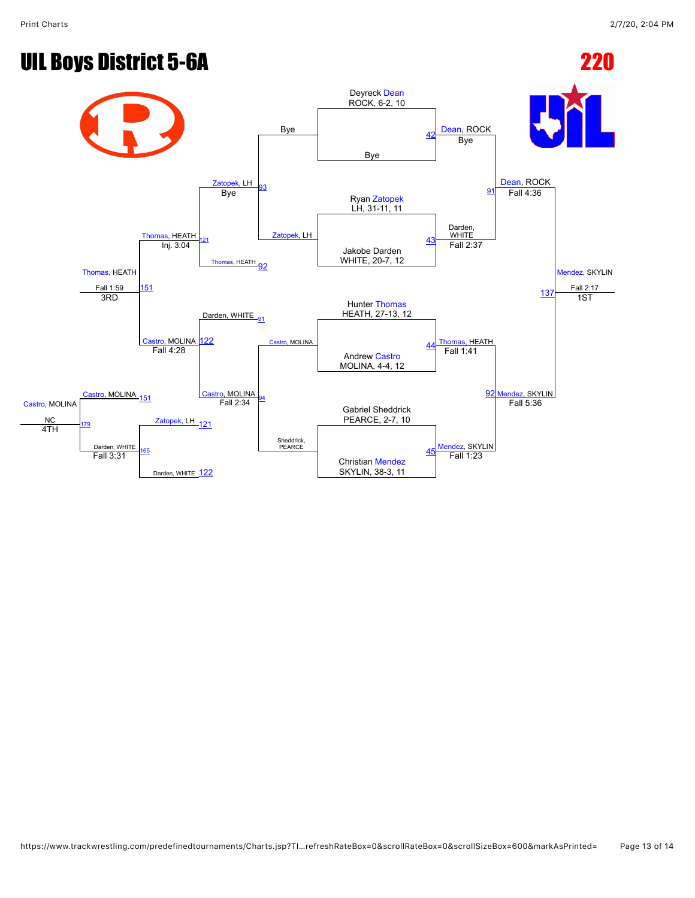